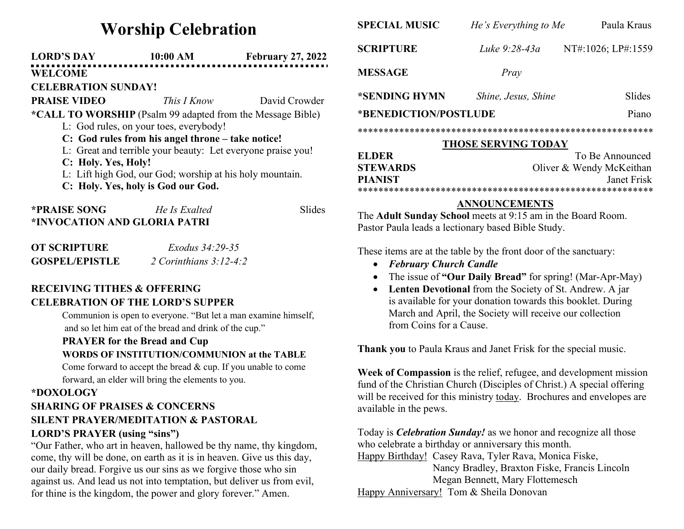# Worship Celebration LORD'S DAY 10:00 AM February 27, 2022 WELCOME CELEBRATION SUNDAY! **PRAISE VIDEO** This I Know David Crowder \*CALL TO WORSHIP (Psalm 99 adapted from the Message Bible) L: God rules, on your toes, everybody! C: God rules from his angel throne – take notice! L: Great and terrible your beauty: Let everyone praise you! C: Holy. Yes, Holy! L: Lift high God, our God; worship at his holy mountain. C: Holy. Yes, holy is God our God.

| <b>*PRAISE SONG</b>          | He Is Exalted | Slides |
|------------------------------|---------------|--------|
| *INVOCATION AND GLORIA PATRI |               |        |

| <b>OT SCRIPTURE</b>   | <i>Exodus</i> 34:29-35   |
|-----------------------|--------------------------|
| <b>GOSPEL/EPISTLE</b> | 2 Corinthians $3:12-4:2$ |

# RECEIVING TITHES & OFFERING CELEBRATION OF THE LORD'S SUPPER

Communion is open to everyone. "But let a man examine himself, and so let him eat of the bread and drink of the cup."

#### PRAYER for the Bread and Cup

#### WORDS OF INSTITUTION/COMMUNION at the TABLE

Come forward to accept the bread & cup. If you unable to come forward, an elder will bring the elements to you.

#### \*DOXOLOGY

## SHARING OF PRAISES & CONCERNS SILENT PRAYER/MEDITATION & PASTORAL LORD'S PRAYER (using "sins")

### "Our Father, who art in heaven, hallowed be thy name, thy kingdom, come, thy will be done, on earth as it is in heaven. Give us this day, our daily bread. Forgive us our sins as we forgive those who sin against us. And lead us not into temptation, but deliver us from evil, for thine is the kingdom, the power and glory forever." Amen.

| <b>SPECIAL MUSIC</b>                                               | He's Everything to Me    | Paula Kraus        |  |  |  |
|--------------------------------------------------------------------|--------------------------|--------------------|--|--|--|
| <b>SCRIPTURE</b>                                                   | Luke 9:28-43a            | NT#:1026; LP#:1559 |  |  |  |
| <b>MESSAGE</b>                                                     | Pray                     |                    |  |  |  |
| *SENDING HYMN                                                      | Shine, Jesus, Shine      | Slides             |  |  |  |
| *BENEDICTION/POSTLUDE                                              |                          | Piano              |  |  |  |
|                                                                    |                          |                    |  |  |  |
| <b>THOSE SERVING TODAY</b>                                         |                          |                    |  |  |  |
| <b>ELDER</b>                                                       | To Be Announced          |                    |  |  |  |
| <b>STEWARDS</b>                                                    | Oliver & Wendy McKeithan |                    |  |  |  |
| <b>PIANIST</b>                                                     | Janet Frisk              |                    |  |  |  |
|                                                                    |                          |                    |  |  |  |
|                                                                    | <b>ANNOUNCEMENTS</b>     |                    |  |  |  |
| The <b>Adult Sunday School</b> meets at 9:15 am in the Board Room. |                          |                    |  |  |  |
| Pastor Paula leads a lectionary based Bible Study.                 |                          |                    |  |  |  |
| These items are at the table by the front door of the sanctuary:   |                          |                    |  |  |  |

Thank you to Paula Kraus and Janet Frisk for the special music.

February Church Candle

from Coins for a Cause.

Week of Compassion is the relief, refugee, and development mission fund of the Christian Church (Disciples of Christ.) A special offering will be received for this ministry today. Brochures and envelopes are available in the pews.

• The issue of "Our Daily Bread" for spring! (Mar-Apr-May) • Lenten Devotional from the Society of St. Andrew. A jar is available for your donation towards this booklet. During March and April, the Society will receive our collection

Today is *Celebration Sunday!* as we honor and recognize all those who celebrate a birthday or anniversary this month.

Happy Birthday! Casey Rava, Tyler Rava, Monica Fiske, Nancy Bradley, Braxton Fiske, Francis Lincoln Megan Bennett, Mary Flottemesch Happy Anniversary! Tom & Sheila Donovan